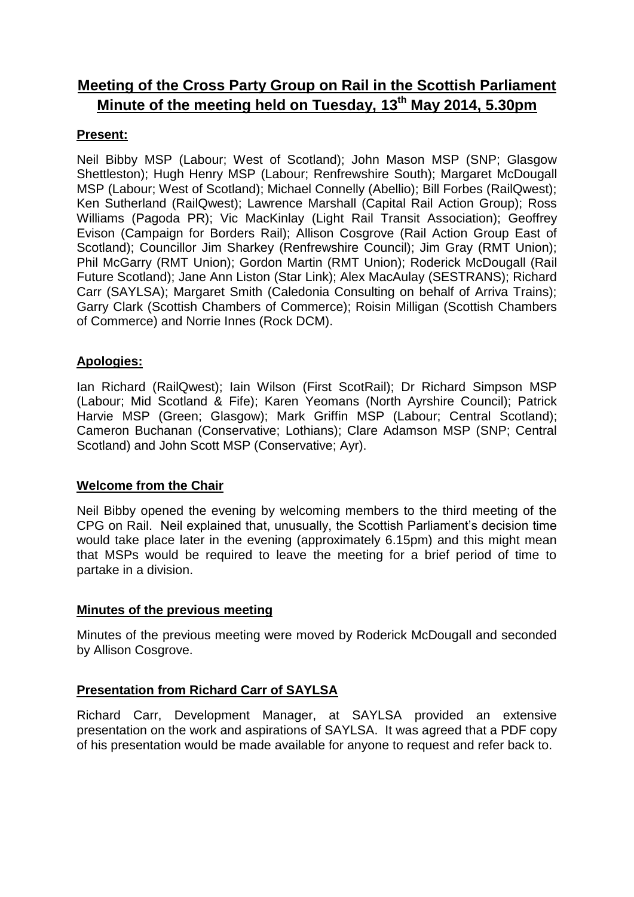# **Meeting of the Cross Party Group on Rail in the Scottish Parliament Minute of the meeting held on Tuesday, 13th May 2014, 5.30pm**

## **Present:**

Neil Bibby MSP (Labour; West of Scotland); John Mason MSP (SNP; Glasgow Shettleston); Hugh Henry MSP (Labour; Renfrewshire South); Margaret McDougall MSP (Labour; West of Scotland); Michael Connelly (Abellio); Bill Forbes (RailQwest); Ken Sutherland (RailQwest); Lawrence Marshall (Capital Rail Action Group); Ross Williams (Pagoda PR); Vic MacKinlay (Light Rail Transit Association); Geoffrey Evison (Campaign for Borders Rail); Allison Cosgrove (Rail Action Group East of Scotland); Councillor Jim Sharkey (Renfrewshire Council); Jim Gray (RMT Union); Phil McGarry (RMT Union); Gordon Martin (RMT Union); Roderick McDougall (Rail Future Scotland); Jane Ann Liston (Star Link); Alex MacAulay (SESTRANS); Richard Carr (SAYLSA); Margaret Smith (Caledonia Consulting on behalf of Arriva Trains); Garry Clark (Scottish Chambers of Commerce); Roisin Milligan (Scottish Chambers of Commerce) and Norrie Innes (Rock DCM).

## **Apologies:**

Ian Richard (RailQwest); Iain Wilson (First ScotRail); Dr Richard Simpson MSP (Labour; Mid Scotland & Fife); Karen Yeomans (North Ayrshire Council); Patrick Harvie MSP (Green; Glasgow); Mark Griffin MSP (Labour; Central Scotland); Cameron Buchanan (Conservative; Lothians); Clare Adamson MSP (SNP; Central Scotland) and John Scott MSP (Conservative; Ayr).

## **Welcome from the Chair**

Neil Bibby opened the evening by welcoming members to the third meeting of the CPG on Rail. Neil explained that, unusually, the Scottish Parliament's decision time would take place later in the evening (approximately 6.15pm) and this might mean that MSPs would be required to leave the meeting for a brief period of time to partake in a division.

## **Minutes of the previous meeting**

Minutes of the previous meeting were moved by Roderick McDougall and seconded by Allison Cosgrove.

## **Presentation from Richard Carr of SAYLSA**

Richard Carr, Development Manager, at SAYLSA provided an extensive presentation on the work and aspirations of SAYLSA. It was agreed that a PDF copy of his presentation would be made available for anyone to request and refer back to.